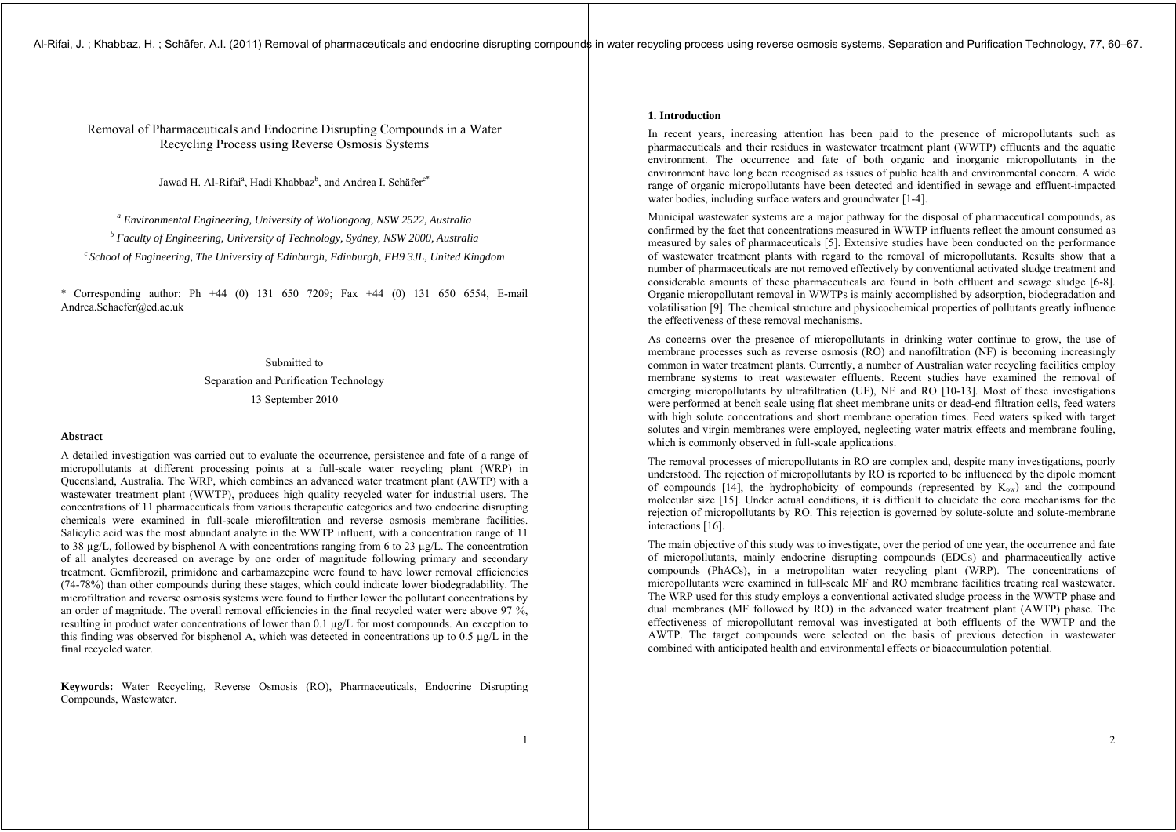# Removal of Pharmaceuticals and Endocrine Disrupting Compounds in a Water Recycling Process using Reverse Osmosis Systems

Jawad H. Al-Rifai<sup>a</sup>, Hadi Khabbaz<sup>b</sup>, and Andrea I. Schäfer<sup>c\*</sup>

*a Environmental Engineering, University of Wollongong, NSW 2522, Australia* 

*b Faculty of Engineering, University of Technology, Sydney, NSW 2000, Australia* 

*c School of Engineering, The University of Edinburgh, Edinburgh, EH9 3JL, United Kingdom* 

\* Corresponding author: Ph +44 (0) 131 650 7209; Fax +44 (0) 131 650 6554, E-mail Andrea.Schaefer@ed.ac.uk

> Submitted to Separation and Purification Technology 13 September 2010

#### **Abstract**

A detailed investigation was carried out to evaluate the occurrence, persistence and fate of a range of micropollutants at different processing points at a full-scale water recycling plant (WRP) in Queensland, Australia. The WRP, which combines an advanced water treatment plant (AWTP) with a wastewater treatment plant (WWTP), produces high quality recycled water for industrial users. The concentrations of 11 pharmaceuticals from various therapeutic categories and two endocrine disrupting chemicals were examined in full-scale microfiltration and reverse osmosis membrane facilities. Salicylic acid was the most abundant analyte in the WWTP influent, with a concentration range of 11 to 38  $\mu$ g/L, followed by bisphenol A with concentrations ranging from 6 to 23  $\mu$ g/L. The concentration of all analytes decreased on average by one order of magnitude following primary and secondary treatment. Gemfibrozil, primidone and carbamazepine were found to have lower removal efficiencies (74-78%) than other compounds during these stages, which could indicate lower biodegradability. The microfiltration and reverse osmosis systems were found to further lower the pollutant concentrations by an order of magnitude. The overall removal efficiencies in the final recycled water were above 97 %, resulting in product water concentrations of lower than 0.1 µg/L for most compounds. An exception to this finding was observed for bisphenol A, which was detected in concentrations up to 0.5  $\mu$ g/L in the final recycled water.

**Keywords:** Water Recycling, Reverse Osmosis (RO), Pharmaceuticals, Endocrine Disrupting Compounds, Wastewater.

# **1. Introduction**

In recent years, increasing attention has been paid to the presence of micropollutants such as pharmaceuticals and their residues in wastewater treatment plant (WWTP) effluents and the aquatic environment. The occurrence and fate of both organic and inorganic micropollutants in the environment have long been recognised as issues of public health and environmental concern. A wide range of organic micropollutants have been detected and identified in sewage and effluent-impacted water bodies, including surface waters and groundwater [1-4].

Municipal wastewater systems are a major pathway for the disposal of pharmaceutical compounds, as confirmed by the fact that concentrations measured in WWTP influents reflect the amount consumed as measured by sales of pharmaceuticals [5]. Extensive studies have been conducted on the performance of wastewater treatment plants with regard to the removal of micropollutants. Results show that a number of pharmaceuticals are not removed effectively by conventional activated sludge treatment and considerable amounts of these pharmaceuticals are found in both effluent and sewage sludge [6-8]. Organic micropollutant removal in WWTPs is mainly accomplished by adsorption, biodegradation and volatilisation [9]. The chemical structure and physicochemical properties of pollutants greatly influence the effectiveness of these removal mechanisms.

As concerns over the presence of micropollutants in drinking water continue to grow, the use of membrane processes such as reverse osmosis (RO) and nanofiltration (NF) is becoming increasingly common in water treatment plants. Currently, a number of Australian water recycling facilities employ membrane systems to treat wastewater effluents. Recent studies have examined the removal of emerging micropollutants by ultrafiltration (UF), NF and RO [10-13]. Most of these investigations were performed at bench scale using flat sheet membrane units or dead-end filtration cells, feed waters with high solute concentrations and short membrane operation times. Feed waters spiked with target solutes and virgin membranes were employed, neglecting water matrix effects and membrane fouling, which is commonly observed in full-scale applications.

The removal processes of micropollutants in RO are complex and, despite many investigations, poorly understood. The rejection of micropollutants by RO is reported to be influenced by the dipole moment of compounds  $[14]$ , the hydrophobicity of compounds (represented by  $K_{\text{ow}}$ ) and the compound molecular size [15]. Under actual conditions, it is difficult to elucidate the core mechanisms for the rejection of micropollutants by RO. This rejection is governed by solute-solute and solute-membrane interactions [16].

The main objective of this study was to investigate, over the period of one year, the occurrence and fate of micropollutants, mainly endocrine disrupting compounds (EDCs) and pharmaceutically active compounds (PhACs), in a metropolitan water recycling plant (WRP). The concentrations of micropollutants were examined in full-scale MF and RO membrane facilities treating real wastewater. The WRP used for this study employs a conventional activated sludge process in the WWTP phase and dual membranes (MF followed by RO) in the advanced water treatment plant (AWTP) phase. The effectiveness of micropollutant removal was investigated at both effluents of the WWTP and the AWTP. The target compounds were selected on the basis of previous detection in wastewater combined with anticipated health and environmental effects or bioaccumulation potential.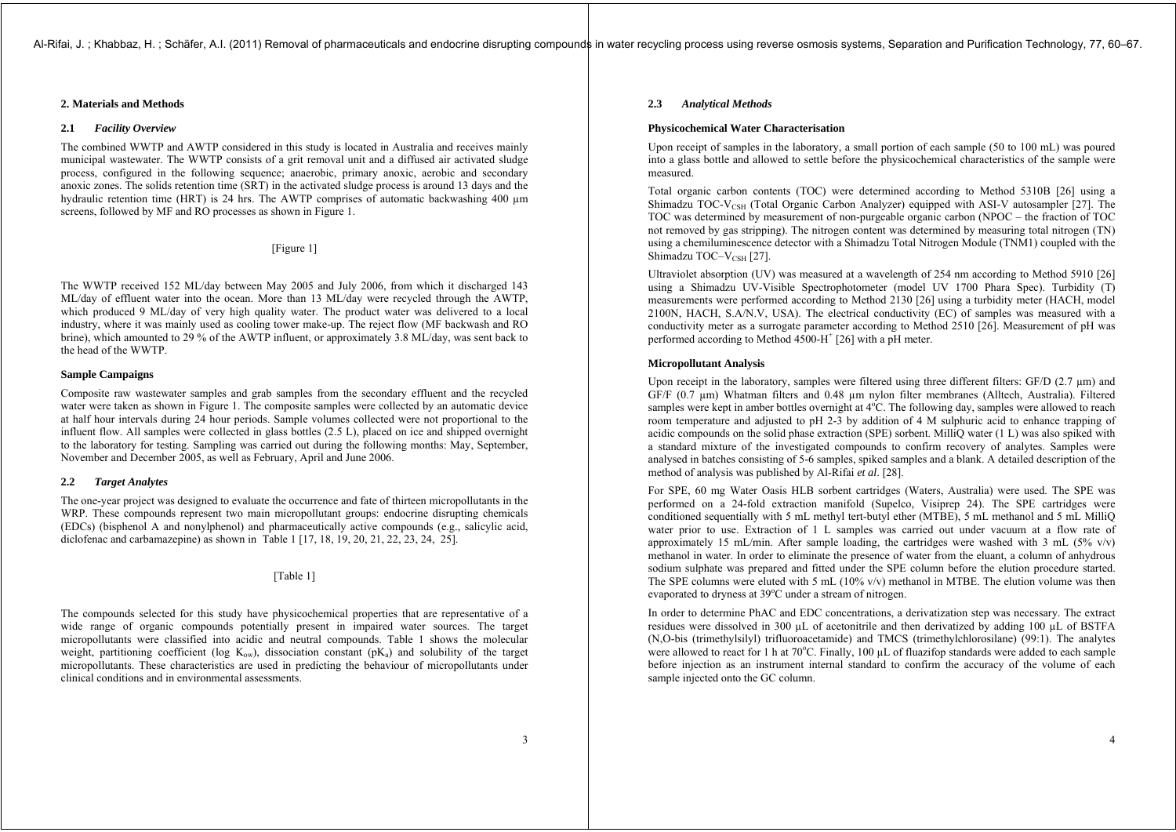# **2. Materials and Methods**

### **2.1** *Facility Overview*

The combined WWTP and AWTP considered in this study is located in Australia and receives mainly municipal wastewater. The WWTP consists of a grit removal unit and a diffused air activated sludge process, configured in the following sequence; anaerobic, primary anoxic, aerobic and secondary anoxic zones. The solids retention time (SRT) in the activated sludge process is around 13 days and the hydraulic retention time (HRT) is 24 hrs. The AWTP comprises of automatic backwashing 400 um screens, followed by MF and RO processes as shown in Figure 1.

[Figure 1]

The WWTP received 152 ML/day between May 2005 and July 2006, from which it discharged 143 ML/day of effluent water into the ocean. More than 13 ML/day were recycled through the AWTP, which produced 9 ML/day of very high quality water. The product water was delivered to a local industry, where it was mainly used as cooling tower make-up. The reject flow (MF backwash and RO brine), which amounted to 29 % of the AWTP influent, or approximately 3.8 ML/day, was sent back to the head of the WWTP.

#### **Sample Campaigns**

Composite raw wastewater samples and grab samples from the secondary effluent and the recycled water were taken as shown in Figure 1. The composite samples were collected by an automatic device at half hour intervals during 24 hour periods. Sample volumes collected were not proportional to the influent flow. All samples were collected in glass bottles (2.5 L), placed on ice and shipped overnight to the laboratory for testing. Sampling was carried out during the following months: May, September, November and December 2005, as well as February, April and June 2006.

# **2.2** *Target Analytes*

The one-year project was designed to evaluate the occurrence and fate of thirteen micropollutants in the WRP. These compounds represent two main micropollutant groups: endocrine disrupting chemicals (EDCs) (bisphenol A and nonylphenol) and pharmaceutically active compounds (e.g., salicylic acid, diclofenac and carbamazepine) as shown in Table 1 [17, 18, 19, 20, 21, 22, 23, 24, 25].

# [Table 1]

The compounds selected for this study have physicochemical properties that are representative of a wide range of organic compounds potentially present in impaired water sources. The target micropollutants were classified into acidic and neutral compounds. Table 1 shows the molecular weight, partitioning coefficient (log  $K_{ow}$ ), dissociation constant ( $pK_a$ ) and solubility of the target micropollutants. These characteristics are used in predicting the behaviour of micropollutants under clinical conditions and in environmental assessments.

# **2.3** *Analytical Methods*

## **Physicochemical Water Characterisation**

Upon receipt of samples in the laboratory, a small portion of each sample (50 to 100 mL) was poured into a glass bottle and allowed to settle before the physicochemical characteristics of the sample were measured.

Total organic carbon contents (TOC) were determined according to Method 5310B [26] using a Shimadzu TOC-V<sub>CSH</sub> (Total Organic Carbon Analyzer) equipped with ASI-V autosampler [27]. The TOC was determined by measurement of non-purgeable organic carbon (NPOC – the fraction of TOC not removed by gas stripping). The nitrogen content was determined by measuring total nitrogen (TN) using a chemiluminescence detector with a Shimadzu Total Nitrogen Module (TNM1) coupled with the Shimadzu TOC– $V_{CSH}$  [27].

Ultraviolet absorption (UV) was measured at a wavelength of 254 nm according to Method 5910 [26] using a Shimadzu UV-Visible Spectrophotometer (model UV 1700 Phara Spec). Turbidity (T) measurements were performed according to Method 2130 [26] using a turbidity meter (HACH, model 2100N, HACH, S.A/N.V, USA). The electrical conductivity (EC) of samples was measured with a conductivity meter as a surrogate parameter according to Method 2510 [26]. Measurement of pH was performed according to Method 4500-H<sup>+</sup> [26] with a pH meter.

#### **Micropollutant Analysis**

Upon receipt in the laboratory, samples were filtered using three different filters: GF/D (2.7  $\mu$ m) and GF/F (0.7 µm) Whatman filters and 0.48 µm nylon filter membranes (Alltech, Australia). Filtered samples were kept in amber bottles overnight at  $4^{\circ}$ C. The following day, samples were allowed to reach room temperature and adjusted to pH 2-3 by addition of 4 M sulphuric acid to enhance trapping of acidic compounds on the solid phase extraction (SPE) sorbent. MilliQ water (1 L) was also spiked with a standard mixture of the investigated compounds to confirm recovery of analytes. Samples were analysed in batches consisting of 5-6 samples, spiked samples and a blank. A detailed description of the method of analysis was published by Al-Rifai *et al*. [28].

For SPE, 60 mg Water Oasis HLB sorbent cartridges (Waters, Australia) were used. The SPE was performed on a 24-fold extraction manifold (Supelco, Visiprep 24). The SPE cartridges were conditioned sequentially with 5 mL methyl tert-butyl ether (MTBE), 5 mL methanol and 5 mL MilliQ water prior to use. Extraction of 1 L samples was carried out under vacuum at a flow rate of approximately 15 mL/min. After sample loading, the cartridges were washed with 3 mL (5%  $v/v$ ) methanol in water. In order to eliminate the presence of water from the eluant, a column of anhydrous sodium sulphate was prepared and fitted under the SPE column before the elution procedure started. The SPE columns were eluted with 5 mL  $(10\% \text{ v/v})$  methanol in MTBE. The elution volume was then evaporated to dryness at 39°C under a stream of nitrogen.

In order to determine PhAC and EDC concentrations, a derivatization step was necessary. The extract residues were dissolved in 300 µL of acetonitrile and then derivatized by adding 100 µL of BSTFA (N,O-bis (trimethylsilyl) trifluoroacetamide) and TMCS (trimethylchlorosilane) (99:1). The analytes were allowed to react for 1 h at  $70^{\circ}$ C. Finally, 100 µL of fluazifop standards were added to each sample before injection as an instrument internal standard to confirm the accuracy of the volume of each sample injected onto the GC column.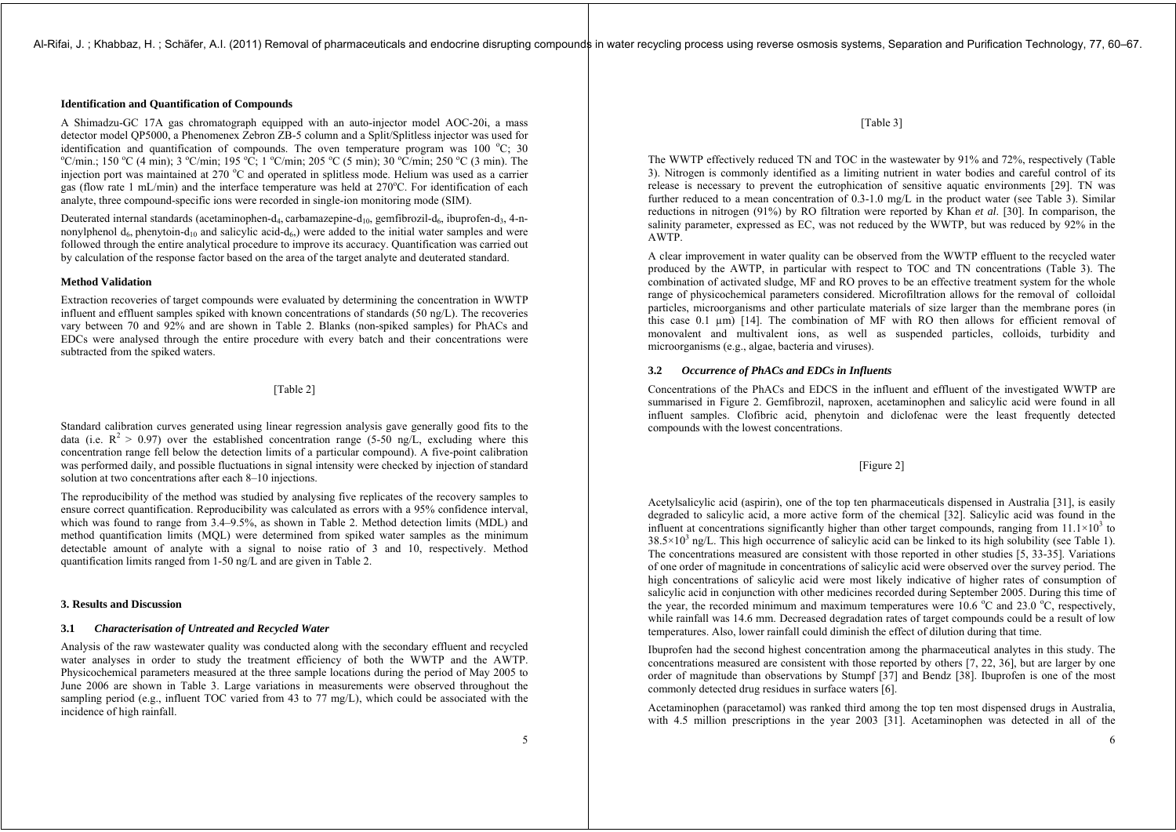# **Identification and Quantification of Compounds**

A Shimadzu-GC 17A gas chromatograph equipped with an auto-injector model AOC-20i, a mass detector model QP5000, a Phenomenex Zebron ZB-5 column and a Split/Splitless injector was used for identification and quantification of compounds. The oven temperature program was 100 °C: 30 <sup>o</sup>C/min.; 150 <sup>o</sup>C (4 min); 3 <sup>o</sup>C/min; 195 <sup>o</sup>C; 1 <sup>o</sup>C/min; 205 <sup>o</sup>C (5 min); 30 <sup>o</sup>C/min; 250 <sup>o</sup>C (3 min). The injection port was maintained at  $270\degree C$  and operated in splitless mode. Helium was used as a carrier gas (flow rate 1 mL/min) and the interface temperature was held at  $270^{\circ}$ C. For identification of each analyte, three compound-specific ions were recorded in single-ion monitoring mode (SIM).

Deuterated internal standards (acetaminophen-d<sub>4</sub>, carbamazepine-d<sub>10</sub>, gemfibrozil-d<sub>6</sub>, ibuprofen-d<sub>3</sub>, 4-nnonylphenol  $d_6$ , phenytoin- $d_{10}$  and salicylic acid- $d_6$ ) were added to the initial water samples and were followed through the entire analytical procedure to improve its accuracy. Quantification was carried out by calculation of the response factor based on the area of the target analyte and deuterated standard.

#### **Method Validation**

Extraction recoveries of target compounds were evaluated by determining the concentration in WWTP influent and effluent samples spiked with known concentrations of standards (50 ng/L). The recoveries vary between 70 and 92% and are shown in Table 2. Blanks (non-spiked samples) for PhACs and EDCs were analysed through the entire procedure with every batch and their concentrations were subtracted from the spiked waters.

# [Table 2]

Standard calibration curves generated using linear regression analysis gave generally good fits to the data (i.e.  $R^2 > 0.97$ ) over the established concentration range (5-50 ng/L, excluding where this concentration range fell below the detection limits of a particular compound). A five-point calibration was performed daily, and possible fluctuations in signal intensity were checked by injection of standard solution at two concentrations after each 8–10 injections.

The reproducibility of the method was studied by analysing five replicates of the recovery samples to ensure correct quantification. Reproducibility was calculated as errors with a 95% confidence interval, which was found to range from 3.4–9.5%, as shown in Table 2. Method detection limits (MDL) and method quantification limits (MQL) were determined from spiked water samples as the minimum detectable amount of analyte with a signal to noise ratio of 3 and 10, respectively. Method quantification limits ranged from 1-50 ng/L and are given in Table 2.

# **3. Results and Discussion**

#### **3.1** *Characterisation of Untreated and Recycled Water*

Analysis of the raw wastewater quality was conducted along with the secondary effluent and recycled water analyses in order to study the treatment efficiency of both the WWTP and the AWTP. Physicochemical parameters measured at the three sample locations during the period of May 2005 to June 2006 are shown in Table 3. Large variations in measurements were observed throughout the sampling period (e.g., influent TOC varied from 43 to 77 mg/L), which could be associated with the incidence of high rainfall.

[Table 3]

The WWTP effectively reduced TN and TOC in the wastewater by 91% and 72%, respectively (Table 3). Nitrogen is commonly identified as a limiting nutrient in water bodies and careful control of its release is necessary to prevent the eutrophication of sensitive aquatic environments [29]. TN was further reduced to a mean concentration of 0.3-1.0 mg/L in the product water (see Table 3). Similar reductions in nitrogen (91%) by RO filtration were reported by Khan *et al*. [30]. In comparison, the salinity parameter, expressed as EC, was not reduced by the WWTP, but was reduced by 92% in the AWTP.

A clear improvement in water quality can be observed from the WWTP effluent to the recycled water produced by the AWTP, in particular with respect to TOC and TN concentrations (Table 3). The combination of activated sludge, MF and RO proves to be an effective treatment system for the whole range of physicochemical parameters considered. Microfiltration allows for the removal of colloidal particles, microorganisms and other particulate materials of size larger than the membrane pores (in this case 0.1 µm) [14]. The combination of MF with RO then allows for efficient removal of monovalent and multivalent ions, as well as suspended particles, colloids, turbidity and microorganisms (e.g., algae, bacteria and viruses).

#### **3.2** *Occurrence of PhACs and EDCs in Influents*

Concentrations of the PhACs and EDCS in the influent and effluent of the investigated WWTP are summarised in Figure 2. Gemfibrozil, naproxen, acetaminophen and salicylic acid were found in all influent samples. Clofibric acid, phenytoin and diclofenac were the least frequently detected compounds with the lowest concentrations.

# [Figure 2]

Acetylsalicylic acid (aspirin), one of the top ten pharmaceuticals dispensed in Australia [31], is easily degraded to salicylic acid, a more active form of the chemical [32]. Salicylic acid was found in the influent at concentrations significantly higher than other target compounds, ranging from  $11.1\times10^{3}$  to  $38.5\times10^{3}$  ng/L. This high occurrence of salicylic acid can be linked to its high solubility (see Table 1). The concentrations measured are consistent with those reported in other studies [5, 33-35]. Variations of one order of magnitude in concentrations of salicylic acid were observed over the survey period. The high concentrations of salicylic acid were most likely indicative of higher rates of consumption of salicylic acid in conjunction with other medicines recorded during September 2005. During this time of the year, the recorded minimum and maximum temperatures were 10.6  $^{\circ}$ C and 23.0  $^{\circ}$ C, respectively, while rainfall was 14.6 mm. Decreased degradation rates of target compounds could be a result of low temperatures. Also, lower rainfall could diminish the effect of dilution during that time.

Ibuprofen had the second highest concentration among the pharmaceutical analytes in this study. The concentrations measured are consistent with those reported by others [7, 22, 36], but are larger by one order of magnitude than observations by Stumpf [37] and Bendz [38]. Ibuprofen is one of the most commonly detected drug residues in surface waters [6].

Acetaminophen (paracetamol) was ranked third among the top ten most dispensed drugs in Australia, with 4.5 million prescriptions in the year 2003 [31]. Acetaminophen was detected in all of the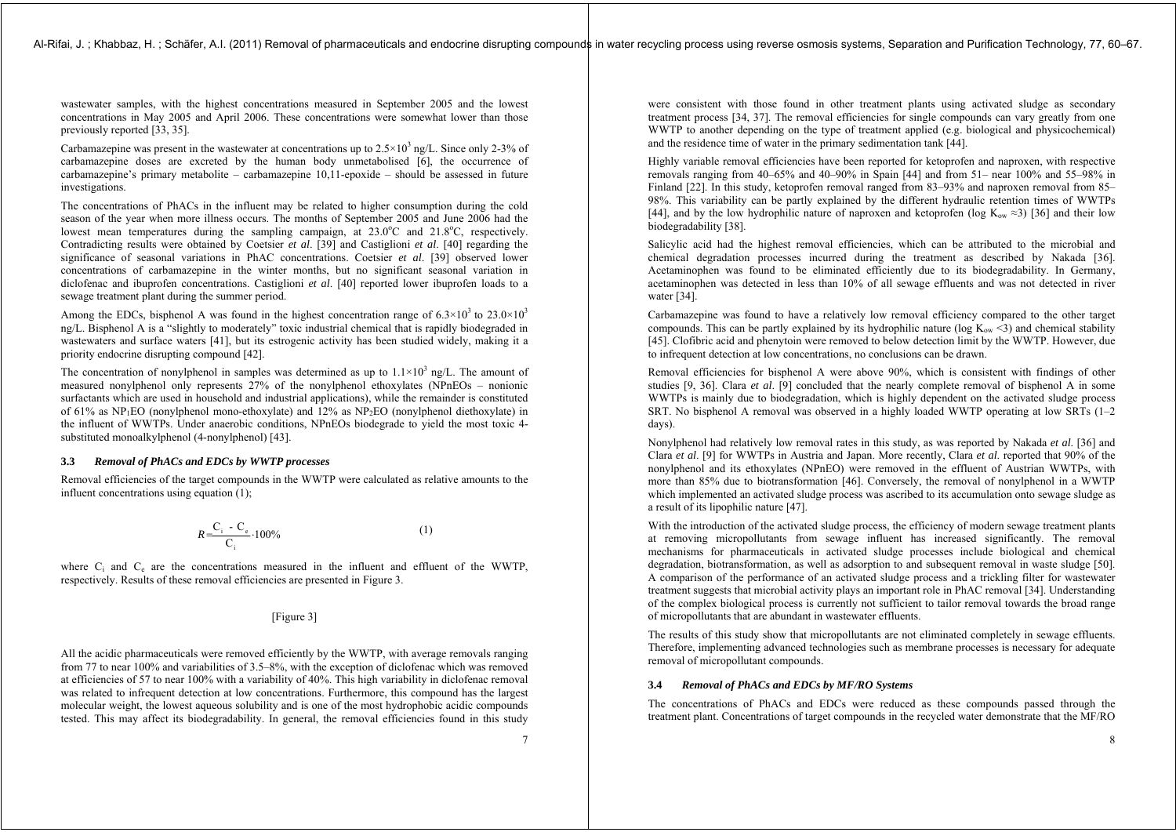wastewater samples, with the highest concentrations measured in September 2005 and the lowest concentrations in May 2005 and April 2006. These concentrations were somewhat lower than those previously reported [33, 35].

Carbamazepine was present in the wastewater at concentrations up to  $2.5\times10^{3}$  ng/L. Since only 2-3% of carbamazepine doses are excreted by the human body unmetabolised [6], the occurrence of carbamazepine's primary metabolite – carbamazepine 10,11-epoxide – should be assessed in future investigations.

The concentrations of PhACs in the influent may be related to higher consumption during the cold season of the year when more illness occurs. The months of September 2005 and June 2006 had the lowest mean temperatures during the sampling campaign, at  $23.0^{\circ}$ C and  $21.8^{\circ}$ C, respectively. Contradicting results were obtained by Coetsier *et al*. [39] and Castiglioni *et al*. [40] regarding the significance of seasonal variations in PhAC concentrations. Coetsier *et al*. [39] observed lower concentrations of carbamazepine in the winter months, but no significant seasonal variation in diclofenac and ibuprofen concentrations. Castiglioni *et al*. [40] reported lower ibuprofen loads to a sewage treatment plant during the summer period.

Among the EDCs, bisphenol A was found in the highest concentration range of  $6.3 \times 10^3$  to  $23.0 \times 10^3$ ng/L. Bisphenol A is a "slightly to moderately" toxic industrial chemical that is rapidly biodegraded in wastewaters and surface waters [41], but its estrogenic activity has been studied widely, making it a priority endocrine disrupting compound [42].

The concentration of nonylphenol in samples was determined as up to  $1.1 \times 10^3$  ng/L. The amount of measured nonylphenol only represents 27% of the nonylphenol ethoxylates (NPnEOs – nonionic surfactants which are used in household and industrial applications), while the remainder is constituted of 61% as  $NP_1EO$  (nonylphenol mono-ethoxylate) and 12% as  $NP_2EO$  (nonylphenol diethoxylate) in the influent of WWTPs. Under anaerobic conditions, NPnEOs biodegrade to yield the most toxic 4 substituted monoalkylphenol (4-nonylphenol) [43].

# **3.3** *Removal of PhACs and EDCs by WWTP processes*

Removal efficiencies of the target compounds in the WWTP were calculated as relative amounts to the influent concentrations using equation (1);

$$
R = \frac{C_i - C_e}{C_i} \cdot 100\% \tag{1}
$$

where  $C_i$  and  $C_e$  are the concentrations measured in the influent and effluent of the WWTP, respectively. Results of these removal efficiencies are presented in Figure 3.

# [Figure 3]

All the acidic pharmaceuticals were removed efficiently by the WWTP, with average removals ranging from 77 to near 100% and variabilities of 3.5–8%, with the exception of diclofenac which was removed at efficiencies of 57 to near 100% with a variability of 40%. This high variability in diclofenac removal was related to infrequent detection at low concentrations. Furthermore, this compound has the largest molecular weight, the lowest aqueous solubility and is one of the most hydrophobic acidic compounds tested. This may affect its biodegradability. In general, the removal efficiencies found in this study were consistent with those found in other treatment plants using activated sludge as secondary treatment process [34, 37]. The removal efficiencies for single compounds can vary greatly from one WWTP to another depending on the type of treatment applied (e.g. biological and physicochemical) and the residence time of water in the primary sedimentation tank [44].

Highly variable removal efficiencies have been reported for ketoprofen and naproxen, with respective removals ranging from 40–65% and 40–90% in Spain [44] and from 51– near 100% and 55–98% in Finland [22]. In this study, ketoprofen removal ranged from 83–93% and naproxen removal from 85– 98%. This variability can be partly explained by the different hydraulic retention times of WWTPs [44], and by the low hydrophilic nature of naproxen and ketoprofen (log K<sub>ow</sub>  $\approx$ 3) [36] and their low biodegradability [38].

Salicylic acid had the highest removal efficiencies, which can be attributed to the microbial and chemical degradation processes incurred during the treatment as described by Nakada [36]. Acetaminophen was found to be eliminated efficiently due to its biodegradability. In Germany, acetaminophen was detected in less than 10% of all sewage effluents and was not detected in river water [34].

Carbamazepine was found to have a relatively low removal efficiency compared to the other target compounds. This can be partly explained by its hydrophilic nature (log  $K_{\text{ow}}$  <3) and chemical stability [45]. Clofibric acid and phenytoin were removed to below detection limit by the WWTP. However, due to infrequent detection at low concentrations, no conclusions can be drawn.

Removal efficiencies for bisphenol A were above 90%, which is consistent with findings of other studies [9, 36]. Clara *et al*. [9] concluded that the nearly complete removal of bisphenol A in some WWTPs is mainly due to biodegradation, which is highly dependent on the activated sludge process SRT. No bisphenol A removal was observed in a highly loaded WWTP operating at low SRTs (1–2 days).

Nonylphenol had relatively low removal rates in this study, as was reported by Nakada *et al*. [36] and Clara *et al*. [9] for WWTPs in Austria and Japan. More recently, Clara *et al*. reported that 90% of the nonylphenol and its ethoxylates (NPnEO) were removed in the effluent of Austrian WWTPs, with more than 85% due to biotransformation [46]. Conversely, the removal of nonylphenol in a WWTP which implemented an activated sludge process was ascribed to its accumulation onto sewage sludge as a result of its lipophilic nature [47].

With the introduction of the activated sludge process, the efficiency of modern sewage treatment plants at removing micropollutants from sewage influent has increased significantly. The removal mechanisms for pharmaceuticals in activated sludge processes include biological and chemical degradation, biotransformation, as well as adsorption to and subsequent removal in waste sludge [50]. A comparison of the performance of an activated sludge process and a trickling filter for wastewater treatment suggests that microbial activity plays an important role in PhAC removal [34]. Understanding of the complex biological process is currently not sufficient to tailor removal towards the broad range of micropollutants that are abundant in wastewater effluents.

The results of this study show that micropollutants are not eliminated completely in sewage effluents. Therefore, implementing advanced technologies such as membrane processes is necessary for adequate removal of micropollutant compounds.

# **3.4** *Removal of PhACs and EDCs by MF/RO Systems*

The concentrations of PhACs and EDCs were reduced as these compounds passed through the treatment plant. Concentrations of target compounds in the recycled water demonstrate that the MF/RO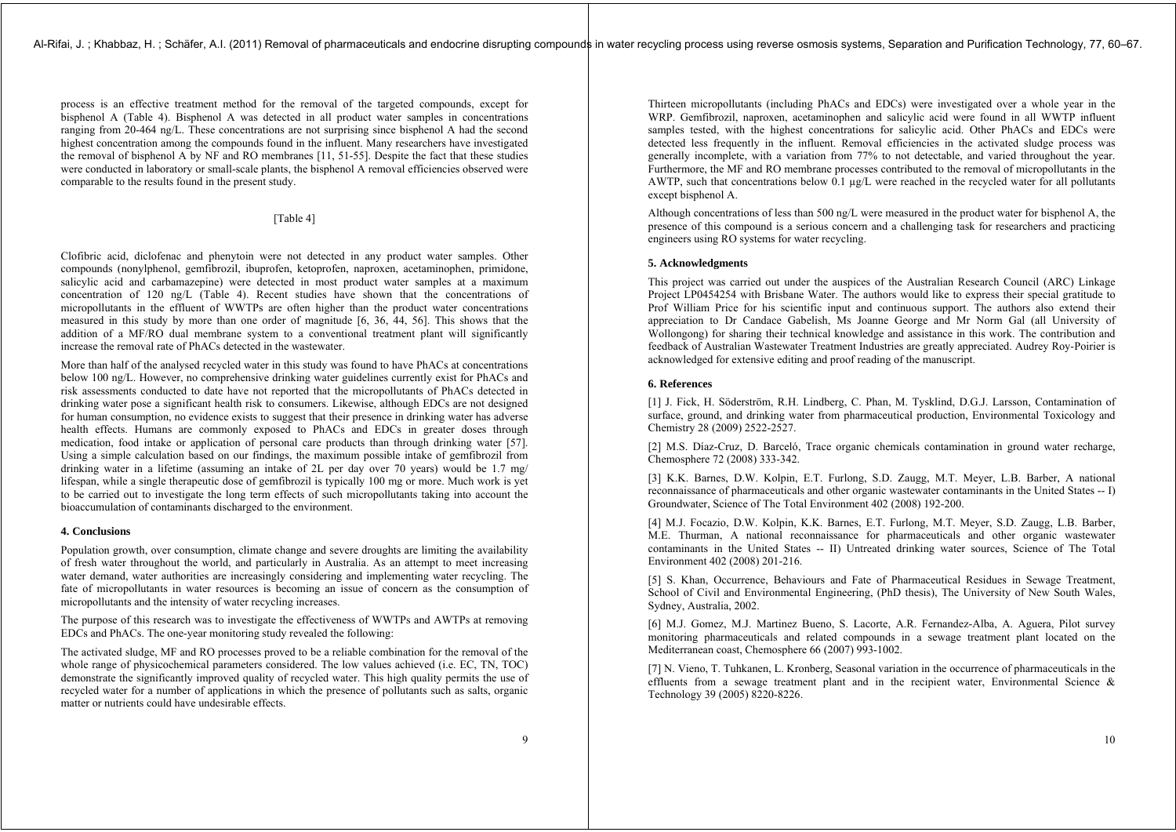process is an effective treatment method for the removal of the targeted compounds, except for bisphenol A (Table 4). Bisphenol A was detected in all product water samples in concentrations ranging from 20-464 ng/L. These concentrations are not surprising since bisphenol A had the second highest concentration among the compounds found in the influent. Many researchers have investigated the removal of bisphenol A by NF and RO membranes [11, 51-55]. Despite the fact that these studies were conducted in laboratory or small-scale plants, the bisphenol A removal efficiencies observed were comparable to the results found in the present study.

# [Table 4]

Clofibric acid, diclofenac and phenytoin were not detected in any product water samples. Other compounds (nonylphenol, gemfibrozil, ibuprofen, ketoprofen, naproxen, acetaminophen, primidone, salicylic acid and carbamazepine) were detected in most product water samples at a maximum concentration of 120 ng/L (Table 4). Recent studies have shown that the concentrations of micropollutants in the effluent of WWTPs are often higher than the product water concentrations measured in this study by more than one order of magnitude [6, 36, 44, 56]. This shows that the addition of a MF/RO dual membrane system to a conventional treatment plant will significantly increase the removal rate of PhACs detected in the wastewater.

More than half of the analysed recycled water in this study was found to have PhACs at concentrations below 100 ng/L. However, no comprehensive drinking water guidelines currently exist for PhACs and risk assessments conducted to date have not reported that the micropollutants of PhACs detected in drinking water pose a significant health risk to consumers. Likewise, although EDCs are not designed for human consumption, no evidence exists to suggest that their presence in drinking water has adverse health effects. Humans are commonly exposed to PhACs and EDCs in greater doses through medication, food intake or application of personal care products than through drinking water [57]. Using a simple calculation based on our findings, the maximum possible intake of gemfibrozil from drinking water in a lifetime (assuming an intake of 2L per day over 70 years) would be 1.7 mg/ lifespan, while a single therapeutic dose of gemfibrozil is typically 100 mg or more. Much work is yet to be carried out to investigate the long term effects of such micropollutants taking into account the bioaccumulation of contaminants discharged to the environment.

# **4. Conclusions**

Population growth, over consumption, climate change and severe droughts are limiting the availability of fresh water throughout the world, and particularly in Australia. As an attempt to meet increasing water demand, water authorities are increasingly considering and implementing water recycling. The fate of micropollutants in water resources is becoming an issue of concern as the consumption of micropollutants and the intensity of water recycling increases.

The purpose of this research was to investigate the effectiveness of WWTPs and AWTPs at removing EDCs and PhACs. The one-year monitoring study revealed the following:

The activated sludge, MF and RO processes proved to be a reliable combination for the removal of the whole range of physicochemical parameters considered. The low values achieved (i.e. EC, TN, TOC) demonstrate the significantly improved quality of recycled water. This high quality permits the use of recycled water for a number of applications in which the presence of pollutants such as salts, organic matter or nutrients could have undesirable effects.

Thirteen micropollutants (including PhACs and EDCs) were investigated over a whole year in the WRP. Gemfibrozil, naproxen, acetaminophen and salicylic acid were found in all WWTP influent samples tested, with the highest concentrations for salicylic acid. Other PhACs and EDCs were detected less frequently in the influent. Removal efficiencies in the activated sludge process was generally incomplete, with a variation from 77% to not detectable, and varied throughout the year. Furthermore, the MF and RO membrane processes contributed to the removal of micropollutants in the AWTP, such that concentrations below  $\hat{0.1}$  µg/L were reached in the recycled water for all pollutants except bisphenol A.

Although concentrations of less than 500 ng/L were measured in the product water for bisphenol A, the presence of this compound is a serious concern and a challenging task for researchers and practicing engineers using RO systems for water recycling.

# **5. Acknowledgments**

This project was carried out under the auspices of the Australian Research Council (ARC) Linkage Project LP0454254 with Brisbane Water. The authors would like to express their special gratitude to Prof William Price for his scientific input and continuous support. The authors also extend their appreciation to Dr Candace Gabelish, Ms Joanne George and Mr Norm Gal (all University of Wollongong) for sharing their technical knowledge and assistance in this work. The contribution and feedback of Australian Wastewater Treatment Industries are greatly appreciated. Audrey Roy-Poirier is acknowledged for extensive editing and proof reading of the manuscript.

# **6. References**

[1] J. Fick, H. Söderström, R.H. Lindberg, C. Phan, M. Tysklind, D.G.J. Larsson, Contamination of surface, ground, and drinking water from pharmaceutical production, Environmental Toxicology and Chemistry 28 (2009) 2522-2527.

[2] M.S. Díaz-Cruz, D. Barceló, Trace organic chemicals contamination in ground water recharge, Chemosphere 72 (2008) 333-342.

[3] K.K. Barnes, D.W. Kolpin, E.T. Furlong, S.D. Zaugg, M.T. Meyer, L.B. Barber, A national reconnaissance of pharmaceuticals and other organic wastewater contaminants in the United States -- I) Groundwater, Science of The Total Environment 402 (2008) 192-200.

[4] M.J. Focazio, D.W. Kolpin, K.K. Barnes, E.T. Furlong, M.T. Meyer, S.D. Zaugg, L.B. Barber, M.E. Thurman, A national reconnaissance for pharmaceuticals and other organic wastewater contaminants in the United States -- II) Untreated drinking water sources, Science of The Total Environment 402 (2008) 201-216.

[5] S. Khan, Occurrence, Behaviours and Fate of Pharmaceutical Residues in Sewage Treatment, School of Civil and Environmental Engineering, (PhD thesis), The University of New South Wales, Sydney, Australia, 2002.

[6] M.J. Gomez, M.J. Martinez Bueno, S. Lacorte, A.R. Fernandez-Alba, A. Aguera, Pilot survey monitoring pharmaceuticals and related compounds in a sewage treatment plant located on the Mediterranean coast, Chemosphere 66 (2007) 993-1002.

[7] N. Vieno, T. Tuhkanen, L. Kronberg, Seasonal variation in the occurrence of pharmaceuticals in the effluents from a sewage treatment plant and in the recipient water. Environmental Science  $\&$ Technology 39 (2005) 8220-8226.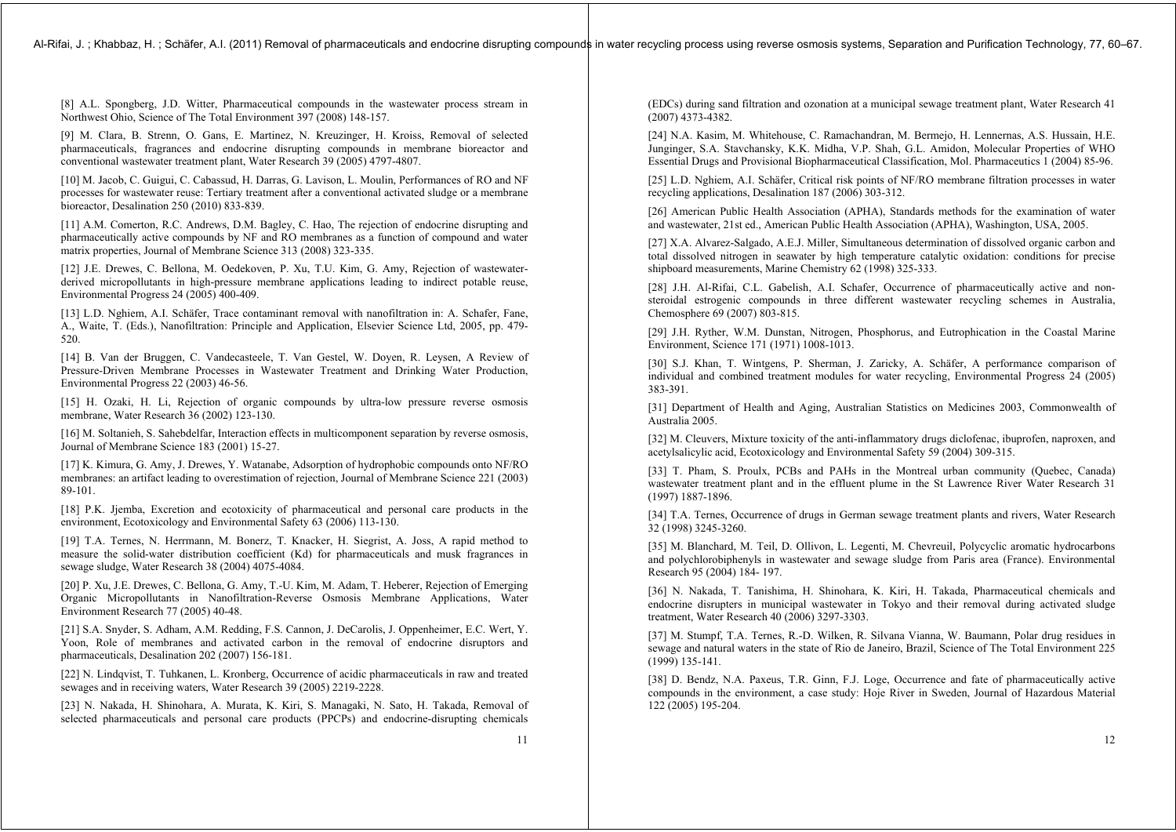[8] A.L. Spongberg, J.D. Witter, Pharmaceutical compounds in the wastewater process stream in Northwest Ohio, Science of The Total Environment 397 (2008) 148-157.

[9] M. Clara, B. Strenn, O. Gans, E. Martinez, N. Kreuzinger, H. Kroiss, Removal of selected pharmaceuticals, fragrances and endocrine disrupting compounds in membrane bioreactor and conventional wastewater treatment plant, Water Research 39 (2005) 4797-4807.

[10] M. Jacob, C. Guigui, C. Cabassud, H. Darras, G. Lavison, L. Moulin, Performances of RO and NF processes for wastewater reuse: Tertiary treatment after a conventional activated sludge or a membrane bioreactor, Desalination 250 (2010) 833-839.

[11] A.M. Comerton, R.C. Andrews, D.M. Bagley, C. Hao, The rejection of endocrine disrupting and pharmaceutically active compounds by NF and RO membranes as a function of compound and water matrix properties, Journal of Membrane Science 313 (2008) 323-335.

[12] J.E. Drewes, C. Bellona, M. Oedekoven, P. Xu, T.U. Kim, G. Amy, Rejection of wastewaterderived micropollutants in high-pressure membrane applications leading to indirect potable reuse, Environmental Progress 24 (2005) 400-409.

[13] L.D. Nghiem, A.I. Schäfer, Trace contaminant removal with nanofiltration in: A. Schafer, Fane, A., Waite, T. (Eds.), Nanofiltration: Principle and Application, Elsevier Science Ltd, 2005, pp. 479- 520.

[14] B. Van der Bruggen, C. Vandecasteele, T. Van Gestel, W. Doyen, R. Leysen, A Review of Pressure-Driven Membrane Processes in Wastewater Treatment and Drinking Water Production, Environmental Progress 22 (2003) 46-56.

[15] H. Ozaki, H. Li, Rejection of organic compounds by ultra-low pressure reverse osmosis membrane, Water Research 36 (2002) 123-130.

[16] M. Soltanieh, S. Sahebdelfar, Interaction effects in multicomponent separation by reverse osmosis, Journal of Membrane Science 183 (2001) 15-27.

[17] K. Kimura, G. Amy, J. Drewes, Y. Watanabe, Adsorption of hydrophobic compounds onto NF/RO membranes: an artifact leading to overestimation of rejection, Journal of Membrane Science 221 (2003) 89-101.

[18] P.K. Jjemba, Excretion and ecotoxicity of pharmaceutical and personal care products in the environment, Ecotoxicology and Environmental Safety 63 (2006) 113-130.

[19] T.A. Ternes, N. Herrmann, M. Bonerz, T. Knacker, H. Siegrist, A. Joss, A rapid method to measure the solid-water distribution coefficient (Kd) for pharmaceuticals and musk fragrances in sewage sludge, Water Research 38 (2004) 4075-4084.

[20] P. Xu, J.E. Drewes, C. Bellona, G. Amy, T.-U. Kim, M. Adam, T. Heberer, Rejection of Emerging Organic Micropollutants in Nanofiltration-Reverse Osmosis Membrane Applications, Water Environment Research 77 (2005) 40-48.

[21] S.A. Snyder, S. Adham, A.M. Redding, F.S. Cannon, J. DeCarolis, J. Oppenheimer, E.C. Wert, Y. Yoon, Role of membranes and activated carbon in the removal of endocrine disruptors and pharmaceuticals, Desalination 202 (2007) 156-181.

[22] N. Lindqvist, T. Tuhkanen, L. Kronberg, Occurrence of acidic pharmaceuticals in raw and treated sewages and in receiving waters, Water Research 39 (2005) 2219-2228.

[23] N. Nakada, H. Shinohara, A. Murata, K. Kiri, S. Managaki, N. Sato, H. Takada, Removal of selected pharmaceuticals and personal care products (PPCPs) and endocrine-disrupting chemicals

(EDCs) during sand filtration and ozonation at a municipal sewage treatment plant, Water Research 41 (2007) 4373-4382.

[24] N.A. Kasim, M. Whitehouse, C. Ramachandran, M. Bermejo, H. Lennernas, A.S. Hussain, H.E. Junginger, S.A. Stavchansky, K.K. Midha, V.P. Shah, G.L. Amidon, Molecular Properties of WHO Essential Drugs and Provisional Biopharmaceutical Classification, Mol. Pharmaceutics 1 (2004) 85-96.

[25] L.D. Nghiem, A.I. Schäfer, Critical risk points of NF/RO membrane filtration processes in water recycling applications, Desalination 187 (2006) 303-312.

[26] American Public Health Association (APHA), Standards methods for the examination of water and wastewater, 21st ed., American Public Health Association (APHA), Washington, USA, 2005.

[27] X.A. Alvarez-Salgado, A.E.J. Miller, Simultaneous determination of dissolved organic carbon and total dissolved nitrogen in seawater by high temperature catalytic oxidation: conditions for precise shipboard measurements, Marine Chemistry 62 (1998) 325-333.

[28] J.H. Al-Rifai, C.L. Gabelish, A.I. Schafer, Occurrence of pharmaceutically active and nonsteroidal estrogenic compounds in three different wastewater recycling schemes in Australia, Chemosphere 69 (2007) 803-815.

[29] J.H. Ryther, W.M. Dunstan, Nitrogen, Phosphorus, and Eutrophication in the Coastal Marine Environment, Science 171 (1971) 1008-1013.

[30] S.J. Khan, T. Wintgens, P. Sherman, J. Zaricky, A. Schäfer, A performance comparison of individual and combined treatment modules for water recycling, Environmental Progress 24 (2005) 383-391.

[31] Department of Health and Aging, Australian Statistics on Medicines 2003, Commonwealth of Australia 2005.

[32] M. Cleuvers, Mixture toxicity of the anti-inflammatory drugs diclofenac, ibuprofen, naproxen, and acetylsalicylic acid, Ecotoxicology and Environmental Safety 59 (2004) 309-315.

[33] T. Pham, S. Proulx, PCBs and PAHs in the Montreal urban community (Quebec, Canada) wastewater treatment plant and in the effluent plume in the St Lawrence River Water Research 31 (1997) 1887-1896.

[34] T.A. Ternes, Occurrence of drugs in German sewage treatment plants and rivers, Water Research 32 (1998) 3245-3260.

[35] M. Blanchard, M. Teil, D. Ollivon, L. Legenti, M. Chevreuil, Polycyclic aromatic hydrocarbons and polychlorobiphenyls in wastewater and sewage sludge from Paris area (France). Environmental Research 95 (2004) 184- 197.

[36] N. Nakada, T. Tanishima, H. Shinohara, K. Kiri, H. Takada, Pharmaceutical chemicals and endocrine disrupters in municipal wastewater in Tokyo and their removal during activated sludge treatment, Water Research 40 (2006) 3297-3303.

[37] M. Stumpf, T.A. Ternes, R.-D. Wilken, R. Silvana Vianna, W. Baumann, Polar drug residues in sewage and natural waters in the state of Rio de Janeiro, Brazil, Science of The Total Environment 225 (1999) 135-141.

[38] D. Bendz, N.A. Paxeus, T.R. Ginn, F.J. Loge, Occurrence and fate of pharmaceutically active compounds in the environment, a case study: Hoje River in Sweden, Journal of Hazardous Material 122 (2005) 195-204.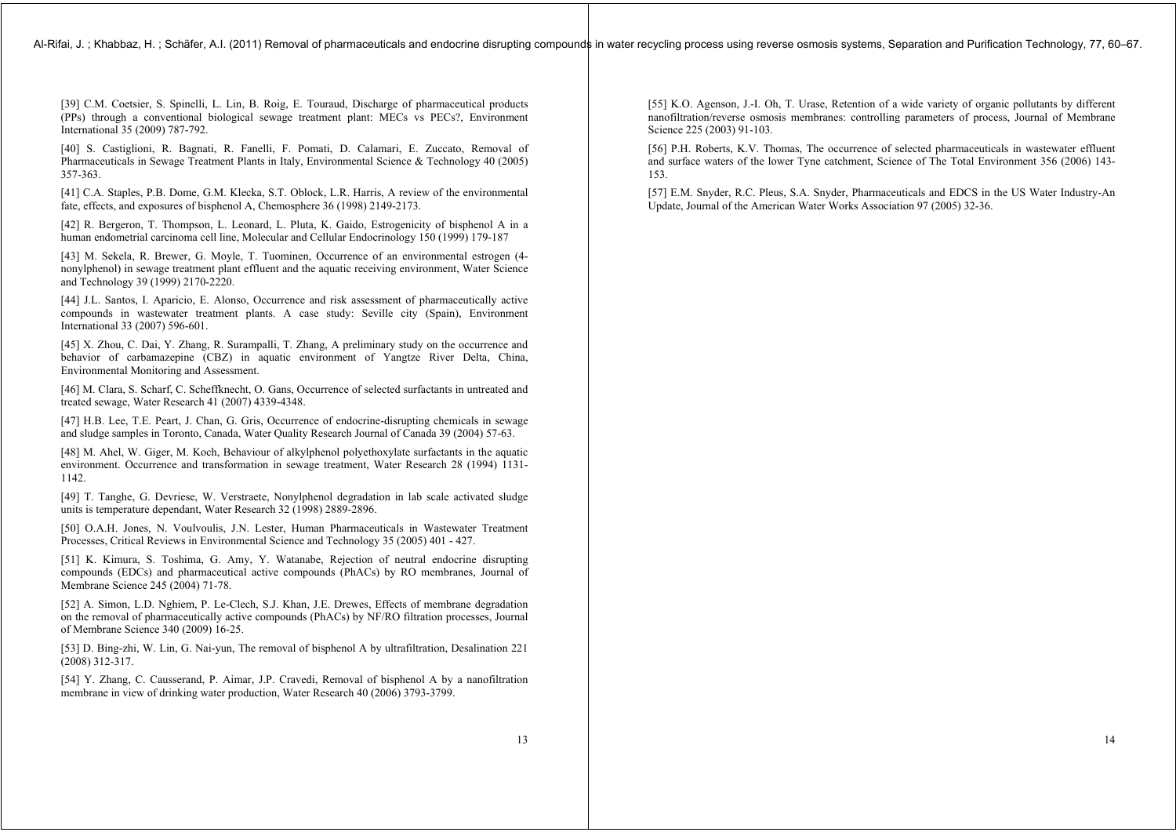[39] C.M. Coetsier, S. Spinelli, L. Lin, B. Roig, E. Touraud, Discharge of pharmaceutical products (PPs) through a conventional biological sewage treatment plant: MECs vs PECs?, Environment International 35 (2009) 787-792.

[40] S. Castiglioni, R. Bagnati, R. Fanelli, F. Pomati, D. Calamari, E. Zuccato, Removal of Pharmaceuticals in Sewage Treatment Plants in Italy, Environmental Science & Technology 40 (2005) 357-363.

[41] C.A. Staples, P.B. Dome, G.M. Klecka, S.T. Oblock, L.R. Harris, A review of the environmental fate, effects, and exposures of bisphenol A, Chemosphere 36 (1998) 2149-2173.

[42] R. Bergeron, T. Thompson, L. Leonard, L. Pluta, K. Gaido, Estrogenicity of bisphenol A in a human endometrial carcinoma cell line, Molecular and Cellular Endocrinology 150 (1999) 179-187

[43] M. Sekela, R. Brewer, G. Moyle, T. Tuominen, Occurrence of an environmental estrogen (4 nonylphenol) in sewage treatment plant effluent and the aquatic receiving environment, Water Science and Technology 39 (1999) 2170-2220.

[44] J.L. Santos, I. Aparicio, E. Alonso, Occurrence and risk assessment of pharmaceutically active compounds in wastewater treatment plants. A case study: Seville city (Spain), Environment International 33 (2007) 596-601.

[45] X. Zhou, C. Dai, Y. Zhang, R. Surampalli, T. Zhang, A preliminary study on the occurrence and behavior of carbamazepine (CBZ) in aquatic environment of Yangtze River Delta, China, Environmental Monitoring and Assessment.

[46] M. Clara, S. Scharf, C. Scheffknecht, O. Gans, Occurrence of selected surfactants in untreated and treated sewage, Water Research 41 (2007) 4339-4348.

[47] H.B. Lee, T.E. Peart, J. Chan, G. Gris, Occurrence of endocrine-disrupting chemicals in sewage and sludge samples in Toronto, Canada, Water Quality Research Journal of Canada 39 (2004) 57-63.

[48] M. Ahel, W. Giger, M. Koch, Behaviour of alkylphenol polyethoxylate surfactants in the aquatic environment. Occurrence and transformation in sewage treatment, Water Research 28 (1994) 1131- 1142.

[49] T. Tanghe, G. Devriese, W. Verstraete, Nonylphenol degradation in lab scale activated sludge units is temperature dependant, Water Research 32 (1998) 2889-2896.

[50] O.A.H. Jones, N. Voulvoulis, J.N. Lester, Human Pharmaceuticals in Wastewater Treatment Processes, Critical Reviews in Environmental Science and Technology 35 (2005) 401 - 427.

[51] K. Kimura, S. Toshima, G. Amy, Y. Watanabe, Rejection of neutral endocrine disrupting compounds (EDCs) and pharmaceutical active compounds (PhACs) by RO membranes, Journal of Membrane Science 245 (2004) 71-78.

[52] A. Simon, L.D. Nghiem, P. Le-Clech, S.J. Khan, J.E. Drewes, Effects of membrane degradation on the removal of pharmaceutically active compounds (PhACs) by NF/RO filtration processes, Journal of Membrane Science 340 (2009) 16-25.

[53] D. Bing-zhi, W. Lin, G. Nai-yun, The removal of bisphenol A by ultrafiltration, Desalination 221 (2008) 312-317.

[54] Y. Zhang, C. Causserand, P. Aimar, J.P. Cravedi, Removal of bisphenol A by a nanofiltration membrane in view of drinking water production, Water Research 40 (2006) 3793-3799.

[55] K.O. Agenson, J.-I. Oh, T. Urase, Retention of a wide variety of organic pollutants by different nanofiltration/reverse osmosis membranes: controlling parameters of process, Journal of Membrane Science 225 (2003) 91-103.

[56] P.H. Roberts, K.V. Thomas, The occurrence of selected pharmaceuticals in wastewater effluent and surface waters of the lower Tyne catchment, Science of The Total Environment 356 (2006) 143- 153.

[57] E.M. Snyder, R.C. Pleus, S.A. Snyder, Pharmaceuticals and EDCS in the US Water Industry-An Update, Journal of the American Water Works Association 97 (2005) 32-36.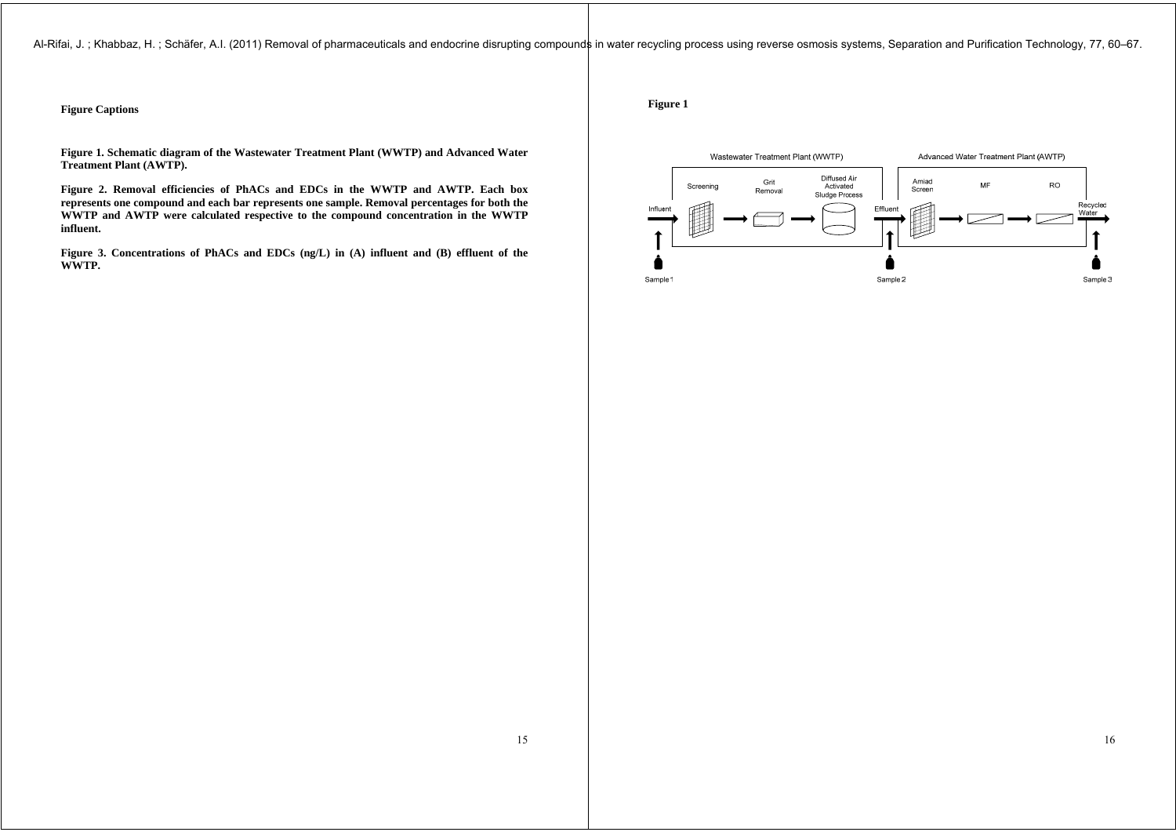Al-Rifai, J.; Khabbaz, H.; Schäfer, A.I. (2011) Removal of pharmaceuticals and endocrine disrupting compounds in water recycling process using reverse osmosis systems, Separation and Purification Technology, 77, 60–67.

# **Figure Captions**

**Figure 1. Schematic diagram of the Wastewater Treatment Plant (WWTP) and Advanced Water Treatment Plant (AWTP).** 

**Figure 2. Removal efficiencies of PhACs and EDCs in the WWTP and AWTP. Each box represents one compound and each bar represents one sample. Removal percentages for both the WWTP and AWTP were calculated respective to the compound concentration in the WWTP influent.** 

**Figure 3. Concentrations of PhACs and EDCs (ng/L) in (A) influent and (B) effluent of the WWTP.** 

**Figure 1** 

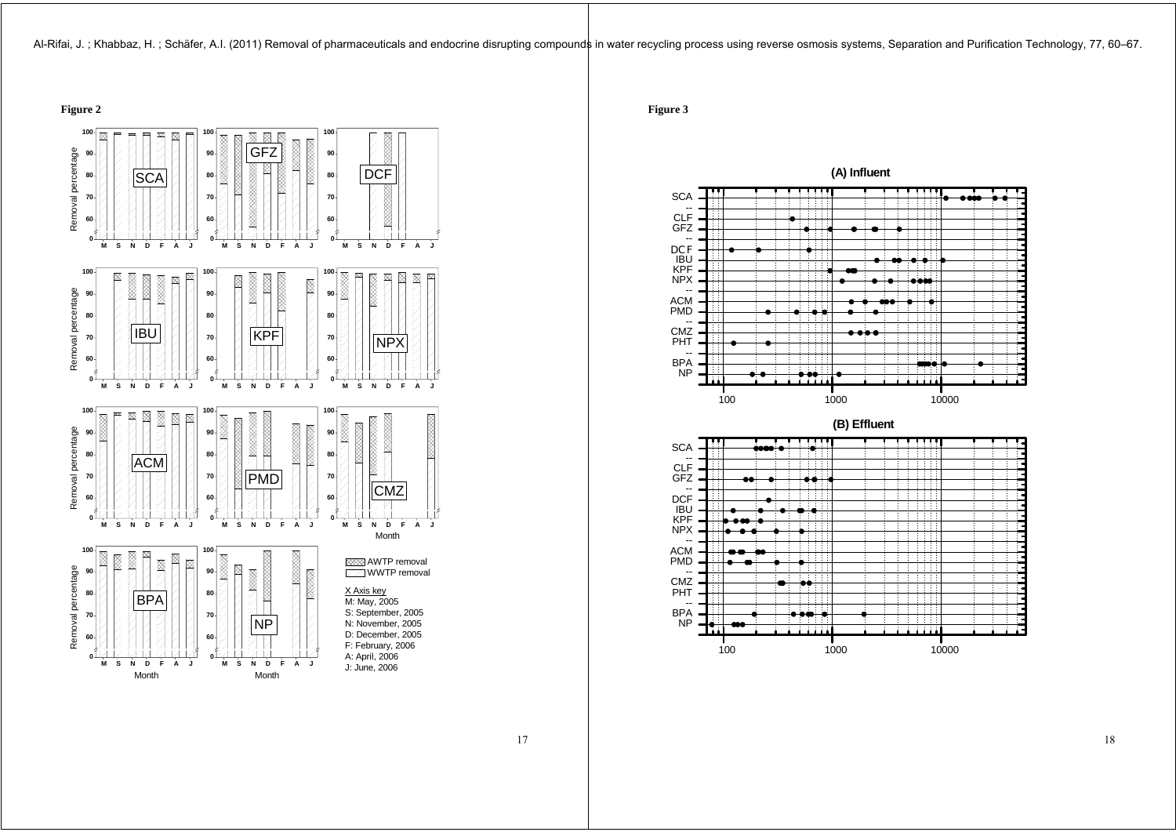Al-Rifai, J.; Khabbaz, H.; Schäfer, A.I. (2011) Removal of pharmaceuticals and endocrine disrupting compounds in water recycling process using reverse osmosis systems, Separation and Purification Technology, 77, 60–67.



**Figure 3** 





17

18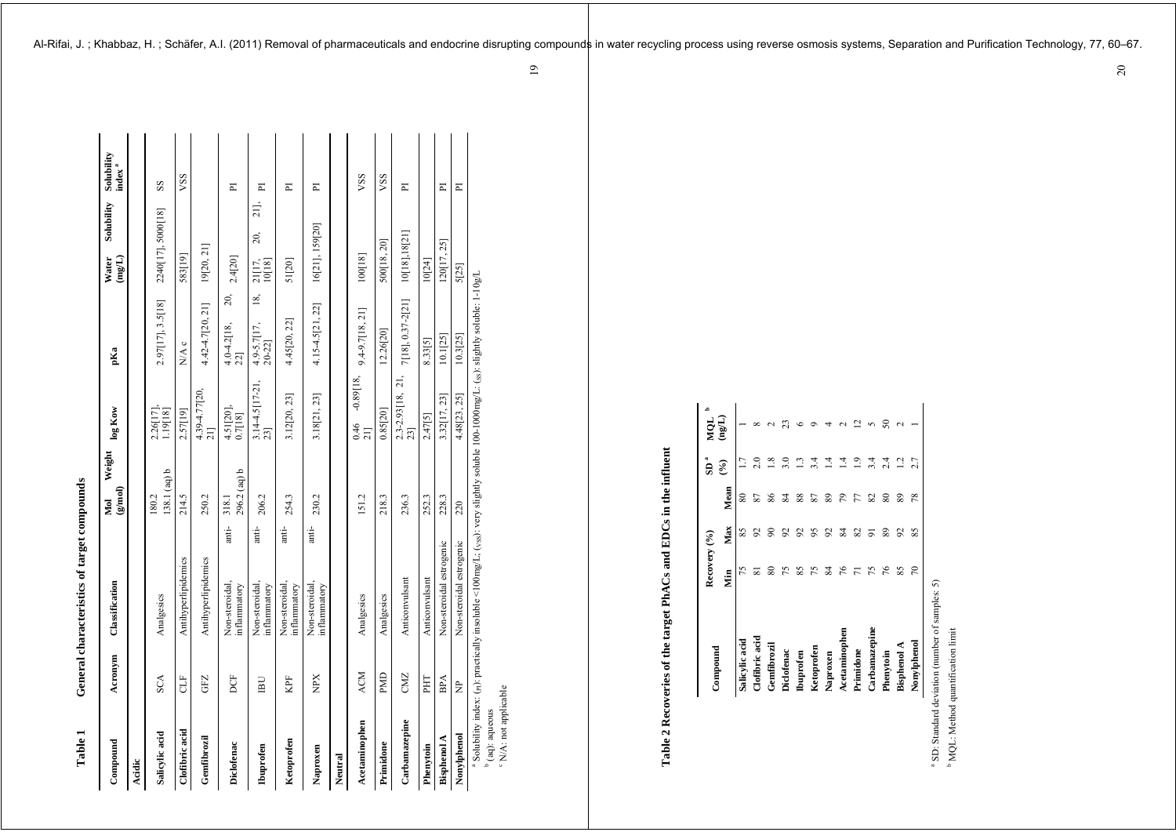# **Table 1 General characteristics of target compounds**  ÷ Table 1

| 1 anne 1           |                | $\alpha$ and $\alpha$ and $\alpha$ and $\alpha$ and $\beta$ and $\beta$                                                             |                                |                                                    |                                  |                               |                                  |
|--------------------|----------------|-------------------------------------------------------------------------------------------------------------------------------------|--------------------------------|----------------------------------------------------|----------------------------------|-------------------------------|----------------------------------|
| Compound           | Acronym        | Classification                                                                                                                      | (g/mol)<br>S                   | $\log$ Kow<br>Weight                               | pKa                              | Solubility<br>(mgL)<br>Water  | Solubility<br>index <sup>a</sup> |
| Acidic             |                |                                                                                                                                     |                                |                                                    |                                  |                               |                                  |
| Salicylic acid     | SCA            | Analgesics                                                                                                                          | 138.1 (aq) b<br>180.2          | 1.19[18]<br>2.26[17]                               | 2.97[17], 3.5[18]                | 2240[17], 5000[18]            | SS                               |
| Clofibric acid     | E              | Antihyperlipidemics                                                                                                                 | 214.5                          | 2.57[19]                                           | N/A c                            | 583[19]                       | <b>SSA</b>                       |
| Gemfibrozil        | GFZ            | Antihyperlipidemics                                                                                                                 | 250.2                          | 4.39-4.77[20,<br>21                                | 4.42-4.7[20, 21]                 | 19[20, 21]                    |                                  |
| Diclofenac         | Ë              | Non-steroidal,<br>inflammatory                                                                                                      | 296.2 (aq) b<br>318.1<br>anti- | $\begin{array}{c} 4.51[20] \\ 0.7[18] \end{array}$ | 20,<br>$4.0 - 4.2[18,$<br>22     | 2.4[20]                       | Ξ                                |
| <b>Ibuprofen</b>   | $\overline{B}$ | Non-steroidal,<br>inflammatory                                                                                                      | 206.2<br>anti-                 | $3.14 - 4.5[17 - 21,$<br>23]                       | 18,<br>$4.9 - 5.7[17,$<br>20-22] | 21<br>20,<br>21[17,<br>10[18] | ᄇ                                |
| Ketoprofen         | КPF            | Non-steroidal,<br>inflammatory                                                                                                      | 254.3<br>anti-                 | 3.12[20, 23]                                       | 4.45[20, 22]                     | 51[20]                        | E                                |
| Naproxen           | XdN            | Non-steroidal,<br>inflammatory                                                                                                      | 230.2<br>anti-                 | 3.18[21, 23]                                       | 4.15-4.5[21, 22]                 | 16[21], 159[20]               | ՟                                |
| Neutral            |                |                                                                                                                                     |                                |                                                    |                                  |                               |                                  |
| Acetaminophen      | <b>ACM</b>     | Analgesics                                                                                                                          | 151.2                          | $-0.89[18,$<br>0.46<br>21                          | $9.4 - 9.7$ [18, 21]             | 100[18]                       | VSS                              |
| Primidone          | PMD            | Analgesics                                                                                                                          | 218.3                          | 0.85 [20]                                          | 12.26[20]                        | 500[18, 20]                   | VSS                              |
| Carbamazepine      | CMZ            | Anticonvulsant                                                                                                                      | 236.3                          | 21,<br>2.3-2.93[18,<br>23]                         | 7[18], 0.37-2[21]                | 10[18], 18[21]                | E                                |
| Phenytoin          | HH             | Anticonvulsant                                                                                                                      | 252.3                          | 2.47[5]                                            | 8.33[5]                          | 10[24]                        |                                  |
| <b>Bisphenol A</b> | <b>BPA</b>     | Non-steroidal estrogenic                                                                                                            | 228.3                          | 3.32[17, 23]                                       | 10.1[25]                         | 120[17, 25]                   | Σ                                |
| Nonylphenol        | È              | Non-steroidal estrogenic                                                                                                            | 220                            | 4.48 23, 25                                        | 10.3[25]                         | 5[25]                         | Σ                                |
| $b$ $\ell$         |                | a Solubility index: (n): practically insoluble <100mg/L; (vss): very slightly soluble 100-1000mg/L: (ss): slightly soluble: 1-10g/L |                                |                                                    |                                  |                               |                                  |

 (aq): aqueous N/A: not applicable

 $\frac{b}{c}$  (aq): aqueous<br> $\frac{c}{c}$  N/A: not applicable

# Table 2 Recoveries of the target PhACs and EDCs in the influent **Table 2 Recoveries of the target PhACs and EDCs in the influent**

| Compound         | Recovery (%)   |                |         | å<br>SD         | NOL              |
|------------------|----------------|----------------|---------|-----------------|------------------|
|                  | Уiп            | Max            | Mean    | $(\mathcal{E})$ | $(\texttt{ngn})$ |
| Salicylic acid   | 75             | 85             | $80\,$  |                 |                  |
| Clofibric acid   |                | 55             | 57      |                 |                  |
| Genfibrozi       | 80             | $\mathcal{S}$  | 86      |                 |                  |
| Diclofenac       | 75             | $\mathcal{S}$  | 84      |                 |                  |
| <b>Ibuprofen</b> | 85             | 92             | 88      | $\Xi$           |                  |
| Ketoprofen       |                | 95             | 28      |                 |                  |
| Naproxen         | 75x            | $\mathcal{S}$  | 89      |                 |                  |
| Acetaminophen    | $\frac{2}{7}$  | -84            | 79      |                 |                  |
| Primidone        | $\overline{7}$ | 82             |         |                 |                  |
| Carbamazepi      | $\mathcal{L}$  | $\overline{9}$ | $77$ 82 |                 |                  |
| Phenytoin        | 76             | 89             | 80      |                 |                  |
| Bisphenol A      | 85             | 55             | 89      | $\overline{a}$  |                  |
| Nonylphenol      | 50             | 85             | 78      | 2.7             |                  |

SD: Standard deviation (number of samples: 5)

a b MQL: Method quantification limit 20

Al-Rifai, J.; Khabbaz, H.; Schäfer, A.I. (2011) Removal of pharmaceuticals and endocrine disrupting compounds in water recycling process using reverse osmosis systems, Separation and Purification Technology, 77, 60–67.